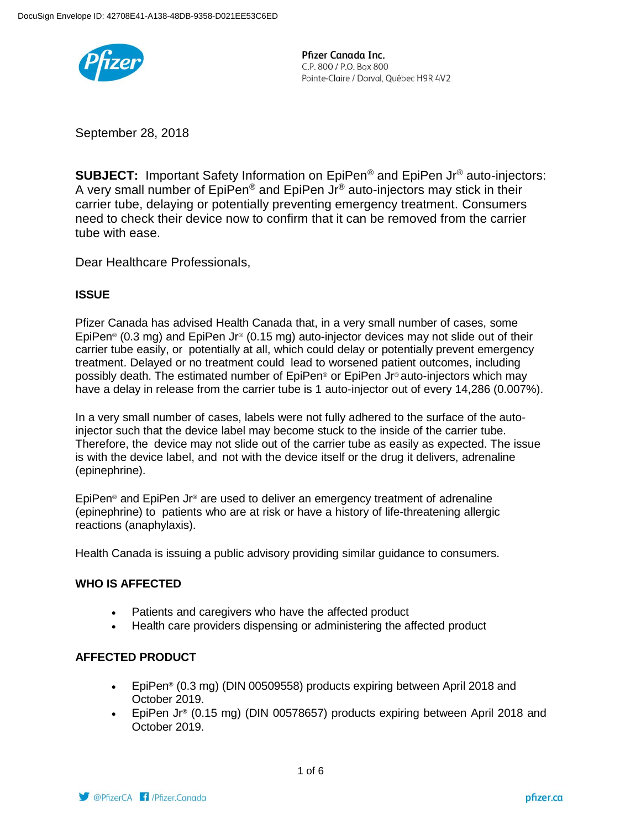

September 28, 2018

**SUBJECT:** Important Safety Information on EpiPen<sup>®</sup> and EpiPen Jr<sup>®</sup> auto-injectors: A very small number of  $EpiPen^{\circledcirc}$  and  $EpiPen$  Jr $^{\circledcirc}$  auto-injectors may stick in their carrier tube, delaying or potentially preventing emergency treatment. Consumers need to check their device now to confirm that it can be removed from the carrier tube with ease.

Dear Healthcare Professionals,

### **ISSUE**

Pfizer Canada has advised Health Canada that, in a very small number of cases, some EpiPen® (0.3 mg) and EpiPen Jr® (0.15 mg) auto-injector devices may not slide out of their carrier tube easily, or potentially at all, which could delay or potentially prevent emergency treatment. Delayed or no treatment could lead to worsened patient outcomes, including possibly death. The estimated number of EpiPen® or EpiPen Jr® auto-injectors which may have a delay in release from the carrier tube is 1 auto-injector out of every 14,286 (0.007%).

In a very small number of cases, labels were not fully adhered to the surface of the autoinjector such that the device label may become stuck to the inside of the carrier tube. Therefore, the device may not slide out of the carrier tube as easily as expected. The issue is with the device label, and not with the device itself or the drug it delivers, adrenaline (epinephrine).

EpiPen® and EpiPen Jr® are used to deliver an emergency treatment of adrenaline (epinephrine) to patients who are at risk or have a history of life-threatening allergic reactions (anaphylaxis).

Health Canada is issuing a public advisory providing similar guidance to consumers.

### **WHO IS AFFECTED**

- Patients and caregivers who have the affected product
- Health care providers dispensing or administering the affected product

#### **AFFECTED PRODUCT**

- EpiPen® (0.3 mg) (DIN 00509558) products expiring between April 2018 and October 2019.
- EpiPen Jr<sup>®</sup> (0.15 mg) (DIN 00578657) products expiring between April 2018 and October 2019.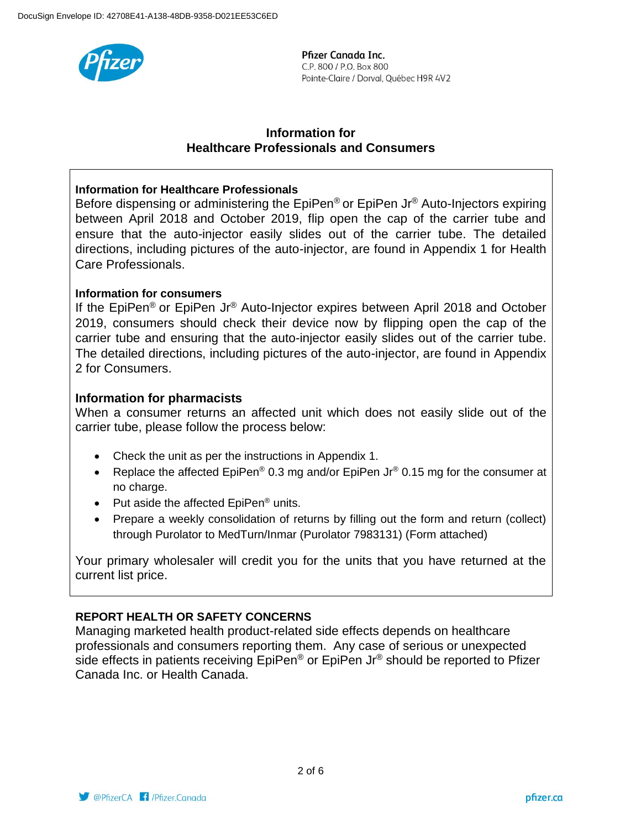

### **Information for Healthcare Professionals and Consumers**

### **Information for Healthcare Professionals**

Before dispensing or administering the EpiPen® or EpiPen Jr<sup>®</sup> Auto-Injectors expiring between April 2018 and October 2019, flip open the cap of the carrier tube and ensure that the auto-injector easily slides out of the carrier tube. The detailed directions, including pictures of the auto-injector, are found in Appendix 1 for Health Care Professionals.

### **Information for consumers**

If the EpiPen® or EpiPen Jr® Auto-Injector expires between April 2018 and October 2019, consumers should check their device now by flipping open the cap of the carrier tube and ensuring that the auto-injector easily slides out of the carrier tube. The detailed directions, including pictures of the auto-injector, are found in Appendix 2 for Consumers.

### **Information for pharmacists**

When a consumer returns an affected unit which does not easily slide out of the carrier tube, please follow the process below:

- Check the unit as per the instructions in Appendix 1.
- Replace the affected EpiPen<sup>®</sup> 0.3 mg and/or EpiPen Jr<sup>®</sup> 0.15 mg for the consumer at no charge.
- Put aside the affected  $EpiPen^{\circledcirc}$  units.
- Prepare a weekly consolidation of returns by filling out the form and return (collect) through Purolator to MedTurn/Inmar (Purolator 7983131) (Form attached)

Your primary wholesaler will credit you for the units that you have returned at the current list price.

### **REPORT HEALTH OR SAFETY CONCERNS**

Managing marketed health product-related side effects depends on healthcare professionals and consumers reporting them. Any case of serious or unexpected side effects in patients receiving  $Epi^{\circ}$  or EpiPen Jr $^{\circ}$  should be reported to Pfizer Canada Inc. or Health Canada.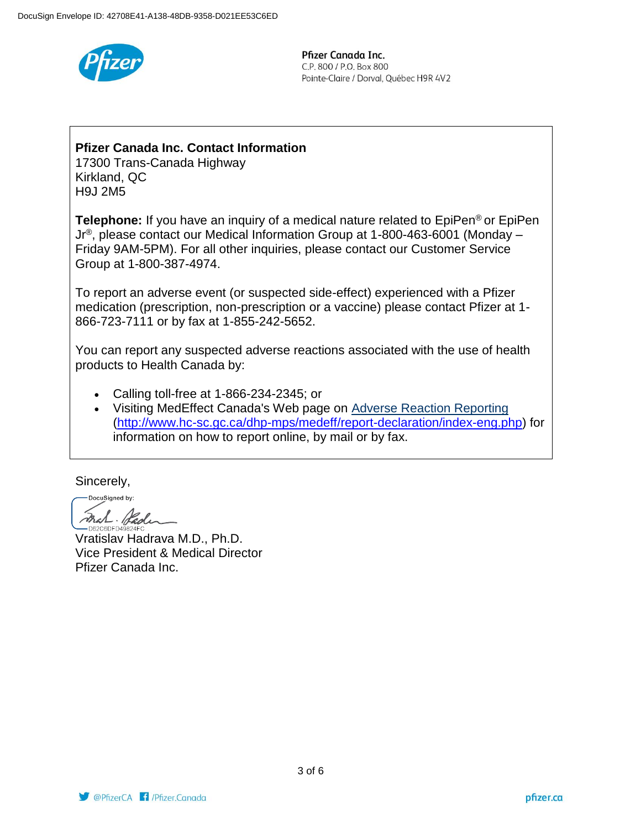

## **Pfizer Canada Inc. Contact Information**

17300 Trans-Canada Highway Kirkland, QC H9J 2M5

**Telephone:** If you have an inquiry of a medical nature related to EpiPen<sup>®</sup> or EpiPen Jr®, please contact our Medical Information Group at 1-800-463-6001 (Monday – Friday 9AM-5PM). For all other inquiries, please contact our Customer Service Group at 1-800-387-4974.

To report an adverse event (or suspected side-effect) experienced with a Pfizer medication (prescription, non-prescription or a vaccine) please contact Pfizer at 1- 866-723-7111 or by fax at 1-855-242-5652.

You can report any suspected adverse reactions associated with the use of health products to Health Canada by:

- Calling toll-free at 1-866-234-2345; or
- Visiting MedEffect Canada's Web page on [Adverse Reaction Reporting](http://www.hc-sc.gc.ca/dhp-mps/medeff/report-declaration/index-eng.php) [\(http://www.hc-sc.gc.ca/dhp-mps/medeff/report-declaration/index-eng.php\)](http://www.hc-sc.gc.ca/dhp-mps/medeff/report-declaration/index-eng.php) for information on how to report online, by mail or by fax.

Sincerely,

DocuSigned by: Fral Pade D62C6DED49824E0

Vratislav Hadrava M.D., Ph.D. Vice President & Medical Director Pfizer Canada Inc.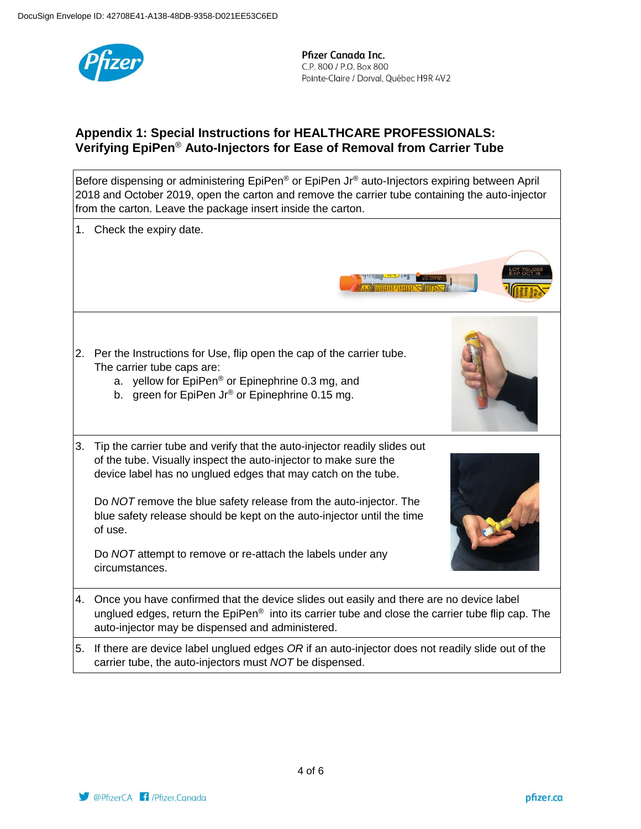

# **Appendix 1: Special Instructions for HEALTHCARE PROFESSIONALS: Verifying EpiPen**® **Auto-Injectors for Ease of Removal from Carrier Tube**

Before dispensing or administering EpiPen® or EpiPen Jr® auto-Injectors expiring between April 2018 and October 2019, open the carton and remove the carrier tube containing the auto-injector from the carton. Leave the package insert inside the carton. 1. Check the expiry date. 2. Per the Instructions for Use, flip open the cap of the carrier tube. The carrier tube caps are: a. yellow for EpiPen® or Epinephrine 0.3 mg, and b. green for EpiPen Jr<sup>®</sup> or Epinephrine 0.15 mg. 3. Tip the carrier tube and verify that the auto-injector readily slides out of the tube. Visually inspect the auto-injector to make sure the device label has no unglued edges that may catch on the tube. Do *NOT* remove the blue safety release from the auto-injector. The blue safety release should be kept on the auto-injector until the time of use. Do *NOT* attempt to remove or re-attach the labels under any circumstances. 4. Once you have confirmed that the device slides out easily and there are no device label unglued edges, return the  $EpiPen<sup>®</sup>$  into its carrier tube and close the carrier tube flip cap. The auto-injector may be dispensed and administered. 5. If there are device label unglued edges *OR* if an auto-injector does not readily slide out of the carrier tube, the auto-injectors must *NOT* be dispensed.

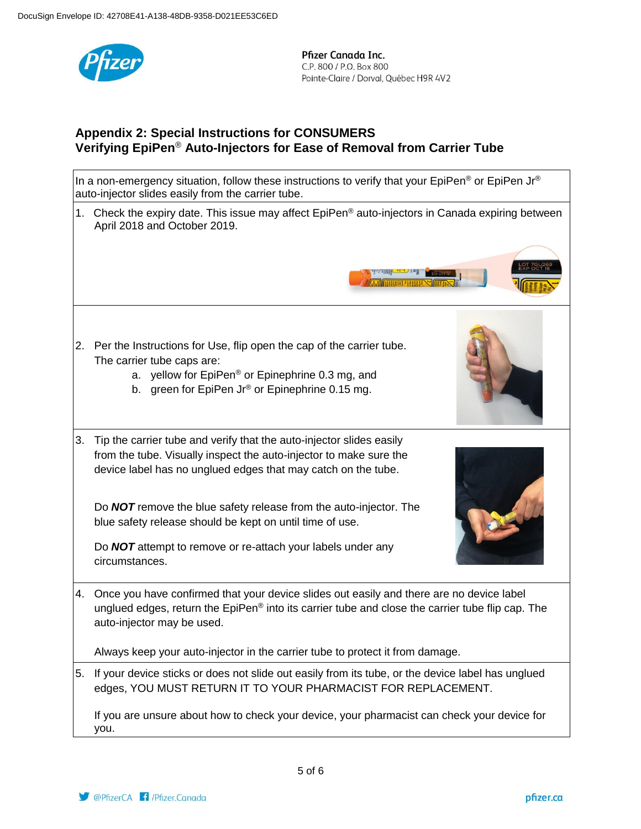

# **Appendix 2: Special Instructions for CONSUMERS Verifying EpiPen**® **Auto-Injectors for Ease of Removal from Carrier Tube**

In a non-emergency situation, follow these instructions to verify that your EpiPen<sup>®</sup> or EpiPen Jr<sup>®</sup> auto-injector slides easily from the carrier tube. 1. Check the expiry date. This issue may affect EpiPen<sup>®</sup> auto-injectors in Canada expiring between April 2018 and October 2019. AMING REAL PRO 2. Per the Instructions for Use, flip open the cap of the carrier tube. The carrier tube caps are: a. yellow for EpiPen® or Epinephrine 0.3 mg, and b. green for EpiPen Jr<sup>®</sup> or Epinephrine 0.15 mg. 3. Tip the carrier tube and verify that the auto-injector slides easily from the tube. Visually inspect the auto-injector to make sure the device label has no unglued edges that may catch on the tube. Do *NOT* remove the blue safety release from the auto-injector. The blue safety release should be kept on until time of use. Do *NOT* attempt to remove or re-attach your labels under any circumstances. 4. Once you have confirmed that your device slides out easily and there are no device label unglued edges, return the EpiPen® into its carrier tube and close the carrier tube flip cap. The auto-injector may be used. Always keep your auto-injector in the carrier tube to protect it from damage. 5. If your device sticks or does not slide out easily from its tube, or the device label has unglued edges, YOU MUST RETURN IT TO YOUR PHARMACIST FOR REPLACEMENT. If you are unsure about how to check your device, your pharmacist can check your device for you.